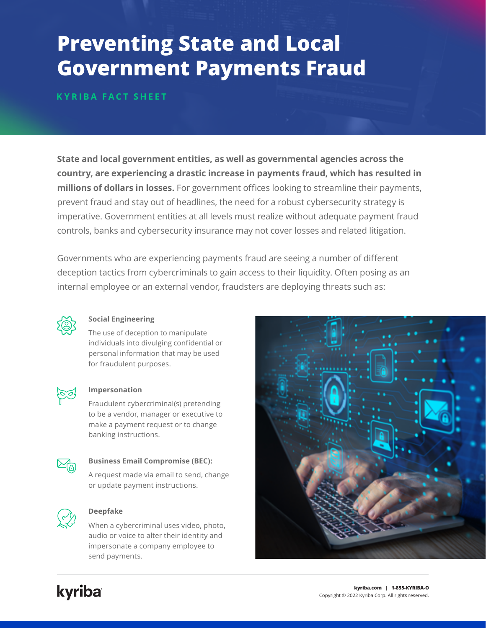# **Preventing State and Local Government Payments Fraud**

**KYRIBA FACT SHEET**

**State and local government entities, as well as governmental agencies across the country, are experiencing a drastic increase in payments fraud, which has resulted in millions of dollars in losses.** For government offices looking to streamline their payments, prevent fraud and stay out of headlines, the need for a robust cybersecurity strategy is imperative. Government entities at all levels must realize without adequate payment fraud controls, banks and cybersecurity insurance may not cover losses and related litigation.

Governments who are experiencing payments fraud are seeing a number of different deception tactics from cybercriminals to gain access to their liquidity. Often posing as an internal employee or an external vendor, fraudsters are deploying threats such as:



## **Social Engineering**

The use of deception to manipulate individuals into divulging confidential or personal information that may be used for fraudulent purposes.



#### **Impersonation**

Fraudulent cybercriminal(s) pretending to be a vendor, manager or executive to make a payment request or to change banking instructions.



#### **Business Email Compromise (BEC):**

A request made via email to send, change or update payment instructions.



### **Deepfake**

When a cybercriminal uses video, photo, audio or voice to alter their identity and impersonate a company employee to send payments.